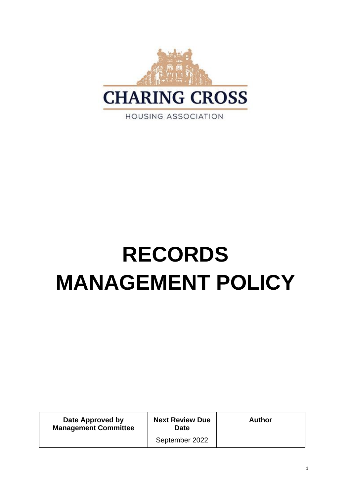

**RECORDS MANAGEMENT POLICY**

**Date Approved by Management Committee Next Review Due Date Author** September 2022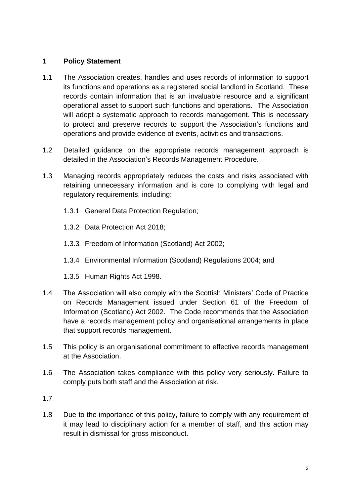## **1 Policy Statement**

- 1.1 The Association creates, handles and uses records of information to support its functions and operations as a registered social landlord in Scotland. These records contain information that is an invaluable resource and a significant operational asset to support such functions and operations. The Association will adopt a systematic approach to records management. This is necessary to protect and preserve records to support the Association's functions and operations and provide evidence of events, activities and transactions.
- 1.2 Detailed guidance on the appropriate records management approach is detailed in the Association's Records Management Procedure.
- 1.3 Managing records appropriately reduces the costs and risks associated with retaining unnecessary information and is core to complying with legal and regulatory requirements, including:
	- 1.3.1 General Data Protection Regulation;
	- 1.3.2 Data Protection Act 2018;
	- 1.3.3 Freedom of Information (Scotland) Act 2002;
	- 1.3.4 Environmental Information (Scotland) Regulations 2004; and
	- 1.3.5 Human Rights Act 1998.
- 1.4 The Association will also comply with the Scottish Ministers' Code of Practice on Records Management issued under Section 61 of the Freedom of Information (Scotland) Act 2002. The Code recommends that the Association have a records management policy and organisational arrangements in place that support records management.
- 1.5 This policy is an organisational commitment to effective records management at the Association.
- 1.6 The Association takes compliance with this policy very seriously. Failure to comply puts both staff and the Association at risk.
- 1.7
- 1.8 Due to the importance of this policy, failure to comply with any requirement of it may lead to disciplinary action for a member of staff, and this action may result in dismissal for gross misconduct.